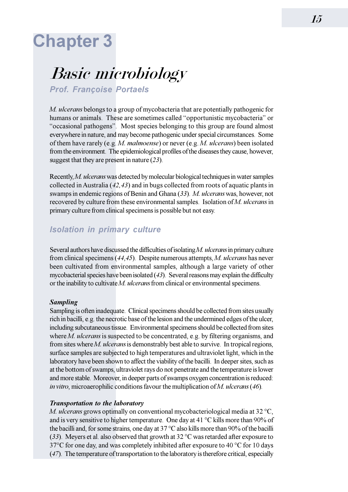# **Chapter 3**

# **Basic microbiology**

**Prof. Françoise Portaels** 

M. ulcerans belongs to a group of mycobacteria that are potentially pathogenic for humans or animals. These are sometimes called "opportunistic mycobacteria" or "occasional pathogens". Most species belonging to this group are found almost everywhere in nature, and may become pathogenic under special circumstances. Some of them have rarely (e.g. M. malmoense) or never (e.g. M. ulcerans) been isolated from the environment. The epidemiological profiles of the diseases they cause, however, suggest that they are present in nature  $(23)$ .

Recently, M. ulcerans was detected by molecular biological techniques in water samples collected in Australia  $(42, 43)$  and in bugs collected from roots of aquatic plants in swamps in endemic regions of Benin and Ghana (33). M. ulcerans was, however, not recovered by culture from these environmental samples. Isolation of M. ulcerans in primary culture from clinical specimens is possible but not easy.

## **Isolation in primary culture**

Several authors have discussed the difficulties of isolating M. ulcerans in primary culture from clinical specimens  $(44, 45)$ . Despite numerous attempts, M. ulcerans has never been cultivated from environmental samples, although a large variety of other mycobacterial species have been isolated (43). Several reasons may explain the difficulty or the inability to cultivate  $M$ . *ulcerans* from clinical or environmental specimens.

#### **Sampling**

Sampling is often inadequate. Clinical specimens should be collected from sites usually rich in bacilli, e.g. the necrotic base of the lesion and the undermined edges of the ulcer, including subcutaneous tissue. Environmental specimens should be collected from sites where  $M$ . *ulcerans* is suspected to be concentrated, e.g. by filtering organisms, and from sites where  $M$ . *ulcerans* is demonstrably best able to survive. In tropical regions, surface samples are subjected to high temperatures and ultraviolet light, which in the laboratory have been shown to affect the viability of the bacilli. In deeper sites, such as at the bottom of swamps, ultraviolet rays do not penetrate and the temperature is lower and more stable. Moreover, in deeper parts of swamps oxygen concentration is reduced: in vitro, microaerophilic conditions favour the multiplication of  $M$ . ulcerans (46).

#### **Transportation to the laboratory**

M. ulcerans grows optimally on conventional mycobacteriological media at 32 °C, and is very sensitive to higher temperature. One day at 41 °C kills more than 90% of the bacilli and, for some strains, one day at  $37^{\circ}$ C also kills more than 90% of the bacilli (33). Meyers et al. also observed that growth at 32  $^{\circ}$ C was retarded after exposure to 37°C for one day, and was completely inhibited after exposure to 40 °C for 10 days (47). The temperature of transportation to the laboratory is therefore critical, especially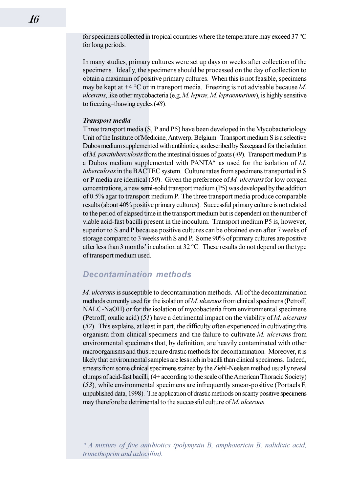for specimens collected in tropical countries where the temperature may exceed  $37^{\circ}$ C for long periods.

In many studies, primary cultures were set up days or weeks after collection of the specimens. Ideally, the specimens should be processed on the day of collection to obtain a maximum of positive primary cultures. When this is not feasible, specimens may be kept at  $+4$  °C or in transport media. Freezing is not advisable because M. *ulcerans*, like other mycobacteria (e.g. M. leprae, M. lepraemurium), is highly sensitive to freezing–thawing cycles  $(48)$ .

#### **Transport media**

Three transport media (S, P and P5) have been developed in the Mycobacteriology Unit of the Institute of Medicine, Antwerp, Belgium. Transport medium S is a selective Dubos medium supplemented with antibiotics, as described by Saxegaard for the isolation of *M. paratuberculosis* from the intestinal tissues of goats  $(49)$ . Transport medium P is a Dubos medium supplemented with PANTA<sup> $a$ </sup> as used for the isolation of M. tuberculosis in the BACTEC system. Culture rates from specimens transported in S or P media are identical  $(50)$ . Given the preference of M. ulcerans for low oxygen concentrations, a new semi-solid transport medium (P5) was developed by the addition of 0.5% agar to transport medium P. The three transport media produce comparable results (about 40% positive primary cultures). Successful primary culture is not related to the period of elapsed time in the transport medium but is dependent on the number of viable acid-fast bacilli present in the inoculum. Transport medium P5 is, however, superior to S and P because positive cultures can be obtained even after 7 weeks of storage compared to 3 weeks with S and P. Some 90% of primary cultures are positive after less than 3 months' incubation at  $32^{\circ}$ C. These results do not depend on the type of transport medium used.

### **Decontamination methods**

M. ulcerans is susceptible to decontamination methods. All of the decontamination methods currently used for the isolation of M. ulcerans from clinical specimens (Petroff, NALC-NaOH) or for the isolation of mycobacteria from environmental specimens (Petroff, oxalic acid)  $(51)$  have a detrimental impact on the viability of M. ulcerans (52). This explains, at least in part, the difficulty often experienced in cultivating this organism from clinical specimens and the failure to cultivate M. ulcerans from environmental specimens that, by definition, are heavily contaminated with other microorganisms and thus require drastic methods for decontamination. Moreover, it is likely that environmental samples are less rich in bacilli than clinical specimens. Indeed, smears from some clinical specimens stained by the Ziehl-Neelsen method usually reveal clumps of acid-fast bacilli. (4+ according to the scale of the American Thoracic Society) (53), while environmental specimens are infrequently smear-positive (Portaels F, unpublished data, 1998). The application of drastic methods on scanty positive specimens may therefore be detrimental to the successful culture of M. ulcerans.

<sup>a</sup> A mixture of five antibiotics (polymyxin B, amphotericin B, nalidixic acid, trimethoprim and azlocillin).